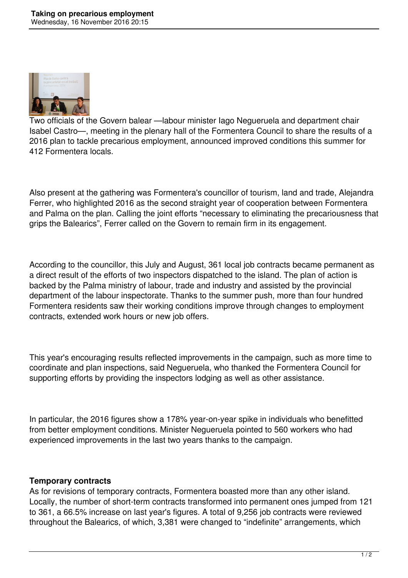

Two officials of the Govern balear —labour minister Iago Negueruela and department chair Isabel Castro—, meeting in the plenary hall of the Formentera Council to share the results of a 2016 plan to tackle precarious employment, announced improved conditions this summer for 412 Formentera locals.

Also present at the gathering was Formentera's councillor of tourism, land and trade, Alejandra Ferrer, who highlighted 2016 as the second straight year of cooperation between Formentera and Palma on the plan. Calling the joint efforts "necessary to eliminating the precariousness that grips the Balearics", Ferrer called on the Govern to remain firm in its engagement.

According to the councillor, this July and August, 361 local job contracts became permanent as a direct result of the efforts of two inspectors dispatched to the island. The plan of action is backed by the Palma ministry of labour, trade and industry and assisted by the provincial department of the labour inspectorate. Thanks to the summer push, more than four hundred Formentera residents saw their working conditions improve through changes to employment contracts, extended work hours or new job offers.

This year's encouraging results reflected improvements in the campaign, such as more time to coordinate and plan inspections, said Negueruela, who thanked the Formentera Council for supporting efforts by providing the inspectors lodging as well as other assistance.

In particular, the 2016 figures show a 178% year-on-year spike in individuals who benefitted from better employment conditions. Minister Negueruela pointed to 560 workers who had experienced improvements in the last two years thanks to the campaign.

## **Temporary contracts**

As for revisions of temporary contracts, Formentera boasted more than any other island. Locally, the number of short-term contracts transformed into permanent ones jumped from 121 to 361, a 66.5% increase on last year's figures. A total of 9,256 job contracts were reviewed throughout the Balearics, of which, 3,381 were changed to "indefinite" arrangements, which